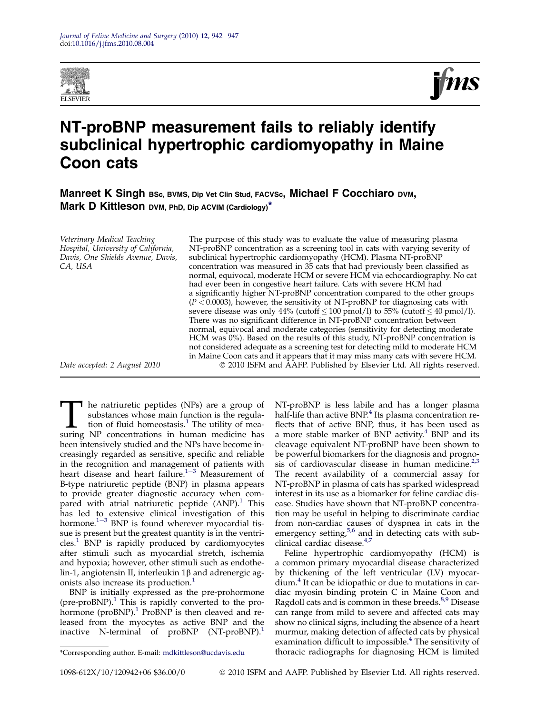



# NT-proBNP measurement fails to reliably identify subclinical hypertrophic cardiomyopathy in Maine Coon cats

Manreet K Singh BSc, BVMS, Dip Vet Clin Stud, FACVSc, Michael F Cocchiaro DVM, Mark D Kittleson DVM, PhD, Dip ACVIM (Cardiology)<sup>\*</sup>

Veterinary Medical Teaching Hospital, University of California, Davis, One Shields Avenue, Davis, CA, USA The purpose of this study was to evaluate the value of measuring plasma NT-proBNP concentration as a screening tool in cats with varying severity of subclinical hypertrophic cardiomyopathy (HCM). Plasma NT-proBNP concentration was measured in 35 cats that had previously been classified as normal, equivocal, moderate HCM or severe HCM via echocardiography. No cat had ever been in congestive heart failure. Cats with severe HCM had a significantly higher NT-proBNP concentration compared to the other groups  $(P < 0.0003)$ , however, the sensitivity of NT-proBNP for diagnosing cats with severe disease was only 44% (cutoff  $\leq 100$  pmol/l) to 55% (cutoff  $\leq 40$  pmol/l). There was no significant difference in NT-proBNP concentration between normal, equivocal and moderate categories (sensitivity for detecting moderate HCM was 0%). Based on the results of this study, NT-proBNP concentration is not considered adequate as a screening test for detecting mild to moderate HCM in Maine Coon cats and it appears that it may miss many cats with severe HCM. Date accepted: 2 August 2010 2010 ISFM and AAFP. Published by Elsevier Ltd. All rights reserved.

The natriuretic peptides (NPs) are a group of substances whose main function is the regulation of fluid homeostasis.<sup>1</sup> The utility of measuring NP concentrations in human medicine has substances whose main function is the regulation of fluid homeostasis. $<sup>1</sup>$  The utility of mea-</sup> been intensively studied and the NPs have become increasingly regarded as sensitive, specific and reliable in the recognition and management of patients with heart disease and heart failure.<sup>[1](#page-4-0)-[3](#page-4-0)</sup> Measurement of B-type natriuretic peptide (BNP) in plasma appears to provide greater diagnostic accuracy when compared with atrial natriuretic peptide  $(AND)^1$ . This has led to extensive clinical investigation of this hormone. $1-3$  $1-3$  $1-3$  BNP is found wherever myocardial tissue is present but the greatest quantity is in the ventricles.[1](#page-4-0) BNP is rapidly produced by cardiomyocytes after stimuli such as myocardial stretch, ischemia and hypoxia; however, other stimuli such as endothelin-1, angiotensin II, interleukin  $1\beta$  and adrenergic ag-onists also increase its production.<sup>[1](#page-4-0)</sup>

BNP is initially expressed as the pre-prohormone (pre-proBNP). $^1$  This is rapidly converted to the pro-hormone (proBNP).<sup>[1](#page-4-0)</sup> ProBNP is then cleaved and released from the myocytes as active BNP and the inactive N-terminal of proBNP (NT-proBNP).<sup>[1](#page-4-0)</sup>

NT-proBNP is less labile and has a longer plasma half-life than active BNP.<sup>4</sup> Its plasma concentration reflects that of active BNP, thus, it has been used as a more stable marker of BNP activity. $4$  BNP and its cleavage equivalent NT-proBNP have been shown to be powerful biomarkers for the diagnosis and prognosis of cardiovascular disease in human medicine. $2,3$ The recent availability of a commercial assay for NT-proBNP in plasma of cats has sparked widespread interest in its use as a biomarker for feline cardiac disease. Studies have shown that NT-proBNP concentration may be useful in helping to discriminate cardiac from non-cardiac causes of dyspnea in cats in the emergency setting,<sup>[5,6](#page-4-0)</sup> and in detecting cats with sub-clinical cardiac disease.<sup>[4,7](#page-4-0)</sup>

Feline hypertrophic cardiomyopathy (HCM) is a common primary myocardial disease characterized by thickening of the left ventricular (LV) myocardium.[4](#page-4-0) It can be idiopathic or due to mutations in cardiac myosin binding protein C in Maine Coon and Ragdoll cats and is common in these breeds.<sup>[8,9](#page-4-0)</sup> Disease can range from mild to severe and affected cats may show no clinical signs, including the absence of a heart murmur, making detection of affected cats by physical examination difficult to impossible.<sup>[4](#page-4-0)</sup> The sensitivity of \*Corresponding author. E-mail: [mdkittleson@ucdavis.edu](mailto:mdkittleson@ucdavis.edu) thoracic radiographs for diagnosing HCM is limited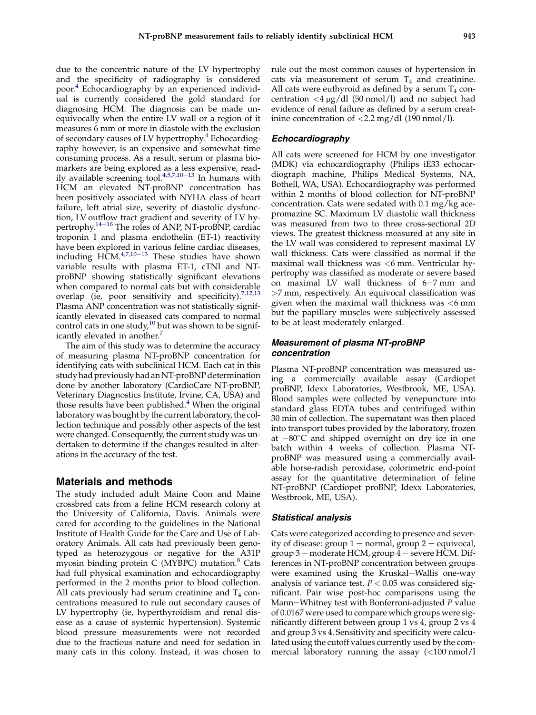due to the concentric nature of the LV hypertrophy and the specificity of radiography is considered poor.[4](#page-4-0) Echocardiography by an experienced individual is currently considered the gold standard for diagnosing HCM. The diagnosis can be made unequivocally when the entire LV wall or a region of it measures 6 mm or more in diastole with the exclusion of secondary causes of LV hypertrophy.<sup>[4](#page-4-0)</sup> Echocardiography however, is an expensive and somewhat time consuming process. As a result, serum or plasma biomarkers are being explored as a less expensive, readily available screening tool. $4,5,7,10-13$  $4,5,7,10-13$  $4,5,7,10-13$  In humans with HCM an elevated NT-proBNP concentration has been positively associated with NYHA class of heart failure, left atrial size, severity of diastolic dysfunction, LV outflow tract gradient and severity of LV hypertrophy. $14-16$  $14-16$  $14-16$  The roles of ANP, NT-proBNP, cardiac troponin I and plasma endothelin (ET-1) reactivity have been explored in various feline cardiac diseases, including HCM. $4,7,10-13$  $4,7,10-13$  These studies have shown variable results with plasma ET-1, cTNI and NTproBNP showing statistically significant elevations when compared to normal cats but with considerable overlap (ie, poor sensitivity and specificity). $7,12,13$ Plasma ANP concentration was not statistically significantly elevated in diseased cats compared to normal control cats in one study,<sup>[10](#page-4-0)</sup> but was shown to be signif-icantly elevated in another.<sup>[7](#page-4-0)</sup>

The aim of this study was to determine the accuracy of measuring plasma NT-proBNP concentration for identifying cats with subclinical HCM. Each cat in this study had previously had an NT-proBNP determination done by another laboratory (CardioCare NT-proBNP, Veterinary Diagnostics Institute, Irvine, CA, USA) and those results have been published. $4$  When the original laboratory was bought by the current laboratory, the collection technique and possibly other aspects of the test were changed. Consequently, the current study was undertaken to determine if the changes resulted in alterations in the accuracy of the test.

#### Materials and methods

The study included adult Maine Coon and Maine crossbred cats from a feline HCM research colony at the University of California, Davis. Animals were cared for according to the guidelines in the National Institute of Health Guide for the Care and Use of Laboratory Animals. All cats had previously been genotyped as heterozygous or negative for the A31P myosin binding protein  $C$  (MYBPC) mutation. $8$  Cats had full physical examination and echocardiography performed in the 2 months prior to blood collection. All cats previously had serum creatinine and  $T_4$  concentrations measured to rule out secondary causes of LV hypertrophy (ie, hyperthyroidism and renal disease as a cause of systemic hypertension). Systemic blood pressure measurements were not recorded due to the fractious nature and need for sedation in many cats in this colony. Instead, it was chosen to

rule out the most common causes of hypertension in cats via measurement of serum  $T_4$  and creatinine. All cats were euthyroid as defined by a serum  $T_4$  concentration  $\langle 4 \mu g/dl \rangle$  (50 nmol/l) and no subject had evidence of renal failure as defined by a serum creatinine concentration of  $\langle 2.2 \text{ mg/d} \rangle$  (190 nmol/l).

### **Echocardiography**

All cats were screened for HCM by one investigator (MDK) via echocardiography (Philips iE33 echocardiograph machine, Philips Medical Systems, NA, Bothell, WA, USA). Echocardiography was performed within 2 months of blood collection for NT-proBNP concentration. Cats were sedated with 0.1 mg/kg acepromazine SC. Maximum LV diastolic wall thickness was measured from two to three cross-sectional 2D views. The greatest thickness measured at any site in the LV wall was considered to represent maximal LV wall thickness. Cats were classified as normal if the maximal wall thickness was <6 mm. Ventricular hypertrophy was classified as moderate or severe based on maximal LV wall thickness of  $6-7$  mm and >7 mm, respectively. An equivocal classification was given when the maximal wall thickness was <6 mm but the papillary muscles were subjectively assessed to be at least moderately enlarged.

#### Measurement of plasma NT-proBNP concentration

Plasma NT-proBNP concentration was measured using a commercially available assay (Cardiopet proBNP, Idexx Laboratories, Westbrook, ME, USA). Blood samples were collected by venepuncture into standard glass EDTA tubes and centrifuged within 30 min of collection. The supernatant was then placed into transport tubes provided by the laboratory, frozen at  $-80^{\circ}$ C and shipped overnight on dry ice in one batch within 4 weeks of collection. Plasma NTproBNP was measured using a commercially available horse-radish peroxidase, colorimetric end-point assay for the quantitative determination of feline NT-proBNP (Cardiopet proBNP, Idexx Laboratories, Westbrook, ME, USA).

#### Statistical analysis

Cats were categorized according to presence and severity of disease: group  $1$  – normal, group  $2$  – equivocal, group  $3$  – moderate HCM, group  $4$  – severe HCM. Differences in NT-proBNP concentration between groups were examined using the Kruskal-Wallis one-way analysis of variance test.  $P < 0.05$  was considered significant. Pair wise post-hoc comparisons using the Mann-Whitney test with Bonferroni-adjusted  $P$  value of 0.0167 were used to compare which groups were significantly different between group 1 vs 4, group 2 vs 4 and group 3 vs 4. Sensitivity and specificity were calculated using the cutoff values currently used by the commercial laboratory running the assay (<100 nmol/l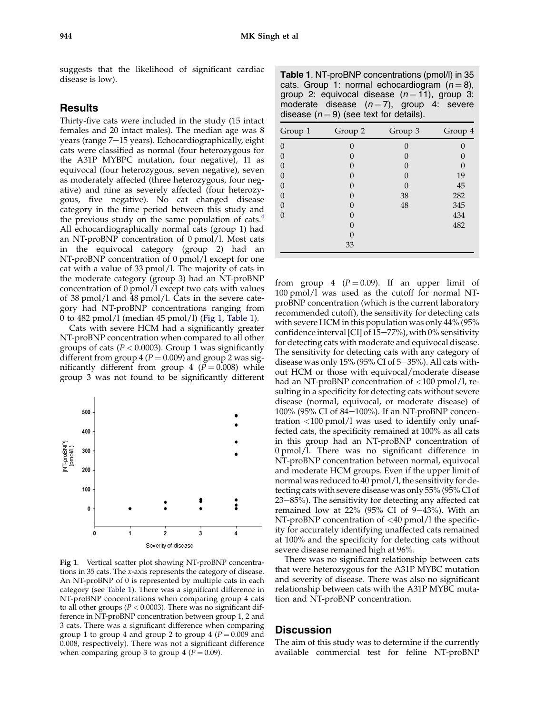suggests that the likelihood of significant cardiac disease is low).

## Results

Thirty-five cats were included in the study (15 intact females and 20 intact males). The median age was 8 years (range  $7-15$  years). Echocardiographically, eight cats were classified as normal (four heterozygous for the A31P MYBPC mutation, four negative), 11 as equivocal (four heterozygous, seven negative), seven as moderately affected (three heterozygous, four negative) and nine as severely affected (four heterozygous, five negative). No cat changed disease category in the time period between this study and the previous study on the same population of cats.<sup>[4](#page-4-0)</sup> All echocardiographically normal cats (group 1) had an NT-proBNP concentration of 0 pmol/l. Most cats in the equivocal category (group 2) had an NT-proBNP concentration of 0 pmol/l except for one cat with a value of 33 pmol/l. The majority of cats in the moderate category (group 3) had an NT-proBNP concentration of 0 pmol/l except two cats with values of 38 pmol/l and 48 pmol/l. Cats in the severe category had NT-proBNP concentrations ranging from 0 to 482 pmol/l (median 45 pmol/l) (Fig 1, Table 1).

Cats with severe HCM had a significantly greater NT-proBNP concentration when compared to all other groups of cats ( $P < 0.0003$ ). Group 1 was significantly different from group 4 ( $P = 0.009$ ) and group 2 was significantly different from group 4 ( $P = 0.008$ ) while group 3 was not found to be significantly different



Fig 1. Vertical scatter plot showing NT-proBNP concentrations in 35 cats. The x-axis represents the category of disease. An NT-proBNP of 0 is represented by multiple cats in each category (see Table 1). There was a significant difference in NT-proBNP concentrations when comparing group 4 cats to all other groups ( $P < 0.0003$ ). There was no significant difference in NT-proBNP concentration between group 1, 2 and 3 cats. There was a significant difference when comparing group 1 to group 4 and group 2 to group 4 ( $P = 0.009$  and 0.008, respectively). There was not a significant difference when comparing group 3 to group 4 ( $P = 0.09$ ).

| Table 1. NT-proBNP concentrations (pmol/l) in 35 |  |  |  |  |
|--------------------------------------------------|--|--|--|--|
| cats. Group 1: normal echocardiogram $(n=8)$ ,   |  |  |  |  |
| group 2: equivocal disease $(n=11)$ , group 3:   |  |  |  |  |
| moderate disease $(n=7)$ , group 4: severe       |  |  |  |  |
| disease $(n=9)$ (see text for details).          |  |  |  |  |

| Group 1  | Group 2 | Group 3 | Group 4 |
|----------|---------|---------|---------|
| $\Omega$ |         | U       |         |
|          |         |         |         |
|          |         | 0       |         |
| 0        |         | 0       | 19      |
| 0        |         | 0       | 45      |
|          |         | 38      | 282     |
|          |         | 48      | 345     |
|          |         |         | 434     |
|          |         |         | 482     |
|          |         |         |         |
|          | 33      |         |         |

from group 4 ( $P = 0.09$ ). If an upper limit of 100 pmol/l was used as the cutoff for normal NTproBNP concentration (which is the current laboratory recommended cutoff), the sensitivity for detecting cats with severe HCM in this population was only 44% (95% confidence interval [CI] of  $15-77%$ ), with 0% sensitivity for detecting cats with moderate and equivocal disease. The sensitivity for detecting cats with any category of disease was only 15% (95% CI of  $5-35$ %). All cats without HCM or those with equivocal/moderate disease had an NT-proBNP concentration of <100 pmol/l, resulting in a specificity for detecting cats without severe disease (normal, equivocal, or moderate disease) of 100% (95% CI of 84 $-100%$ ). If an NT-proBNP concentration <100 pmol/l was used to identify only unaffected cats, the specificity remained at 100% as all cats in this group had an NT-proBNP concentration of 0 pmol/l. There was no significant difference in NT-proBNP concentration between normal, equivocal and moderate HCM groups. Even if the upper limit of normal was reduced to 40 pmol/l, the sensitivity for detecting cats with severe disease was only 55% (95% CI of  $23-85%$ ). The sensitivity for detecting any affected cat remained low at 22% (95% CI of 9 $-43$ %). With an NT-proBNP concentration of <40 pmol/l the specificity for accurately identifying unaffected cats remained at 100% and the specificity for detecting cats without severe disease remained high at 96%.

There was no significant relationship between cats that were heterozygous for the A31P MYBC mutation and severity of disease. There was also no significant relationship between cats with the A31P MYBC mutation and NT-proBNP concentration.

#### **Discussion**

The aim of this study was to determine if the currently available commercial test for feline NT-proBNP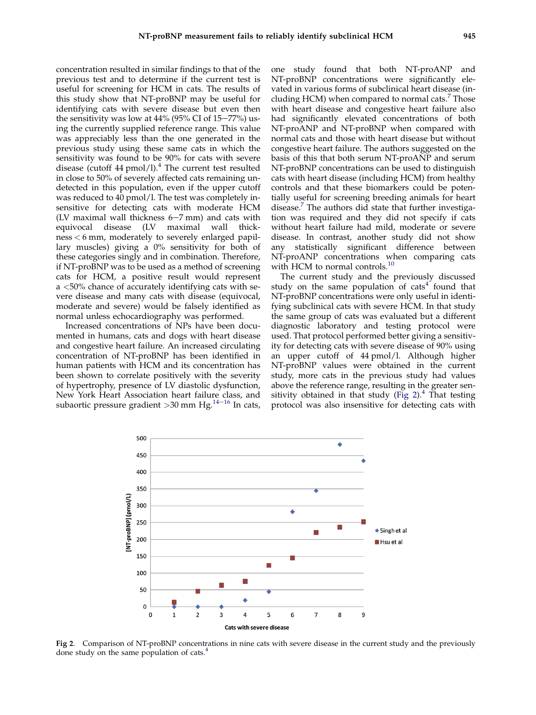concentration resulted in similar findings to that of the previous test and to determine if the current test is useful for screening for HCM in cats. The results of this study show that NT-proBNP may be useful for identifying cats with severe disease but even then the sensitivity was low at  $44\%$  (95% CI of  $15-77\%$ ) using the currently supplied reference range. This value was appreciably less than the one generated in the previous study using these same cats in which the sensitivity was found to be 90% for cats with severe disease (cutoff [4](#page-4-0)4 pmol/l).<sup>4</sup> The current test resulted in close to 50% of severely affected cats remaining undetected in this population, even if the upper cutoff was reduced to 40 pmol/l. The test was completely insensitive for detecting cats with moderate HCM (LV maximal wall thickness  $6-7$  mm) and cats with equivocal disease (LV maximal wall thickness < 6 mm, moderately to severely enlarged papillary muscles) giving a 0% sensitivity for both of these categories singly and in combination. Therefore, if NT-proBNP was to be used as a method of screening cats for HCM, a positive result would represent a <50% chance of accurately identifying cats with severe disease and many cats with disease (equivocal, moderate and severe) would be falsely identified as normal unless echocardiography was performed.

Increased concentrations of NPs have been documented in humans, cats and dogs with heart disease and congestive heart failure. An increased circulating concentration of NT-proBNP has been identified in human patients with HCM and its concentration has been shown to correlate positively with the severity of hypertrophy, presence of LV diastolic dysfunction, New York Heart Association heart failure class, and subaortic pressure gradient  $>$ 30 mm Hg.<sup>14–[16](#page-5-0)</sup> In cats,

one study found that both NT-proANP and NT-proBNP concentrations were significantly elevated in various forms of subclinical heart disease (including HCM) when compared to normal cats. $7$  Those with heart disease and congestive heart failure also had significantly elevated concentrations of both NT-proANP and NT-proBNP when compared with normal cats and those with heart disease but without congestive heart failure. The authors suggested on the basis of this that both serum NT-proANP and serum NT-proBNP concentrations can be used to distinguish cats with heart disease (including HCM) from healthy controls and that these biomarkers could be potentially useful for screening breeding animals for heart disease.<sup>7</sup> The authors did state that further investigation was required and they did not specify if cats without heart failure had mild, moderate or severe disease. In contrast, another study did not show any statistically significant difference between NT-proANP concentrations when comparing cats with HCM to normal controls.<sup>[10](#page-4-0)</sup>

The current study and the previously discussed study on the same population of  $\text{cats}^4$  $\text{cats}^4$  found that NT-proBNP concentrations were only useful in identifying subclinical cats with severe HCM. In that study the same group of cats was evaluated but a different diagnostic laboratory and testing protocol were used. That protocol performed better giving a sensitivity for detecting cats with severe disease of 90% using an upper cutoff of 44 pmol/l. Although higher NT-proBNP values were obtained in the current study, more cats in the previous study had values above the reference range, resulting in the greater sen-sitivity obtained in that study (Fig 2).<sup>[4](#page-4-0)</sup> That testing protocol was also insensitive for detecting cats with



Fig 2. Comparison of NT-proBNP concentrations in nine cats with severe disease in the current study and the previously done study on the same population of cats.<sup>[4](#page-4-0)</sup>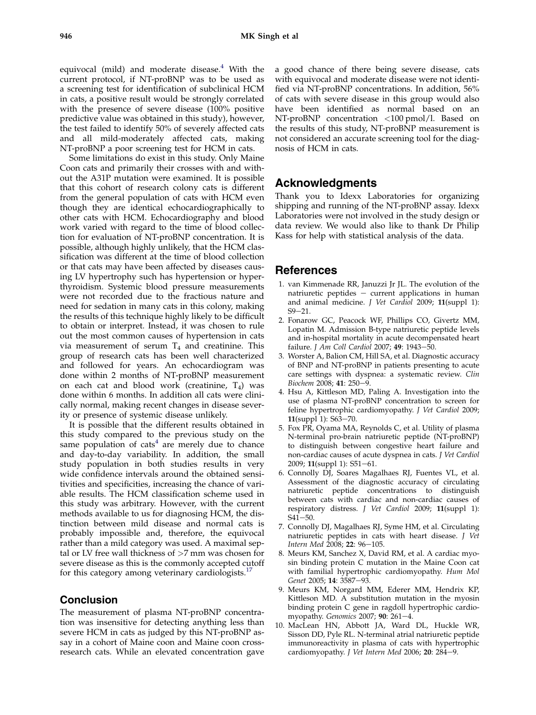<span id="page-4-0"></span>equivocal (mild) and moderate disease. $4$  With the current protocol, if NT-proBNP was to be used as a screening test for identification of subclinical HCM in cats, a positive result would be strongly correlated with the presence of severe disease (100% positive predictive value was obtained in this study), however, the test failed to identify 50% of severely affected cats and all mild-moderately affected cats, making NT-proBNP a poor screening test for HCM in cats.

Some limitations do exist in this study. Only Maine Coon cats and primarily their crosses with and without the A31P mutation were examined. It is possible that this cohort of research colony cats is different from the general population of cats with HCM even though they are identical echocardiographically to other cats with HCM. Echocardiography and blood work varied with regard to the time of blood collection for evaluation of NT-proBNP concentration. It is possible, although highly unlikely, that the HCM classification was different at the time of blood collection or that cats may have been affected by diseases causing LV hypertrophy such has hypertension or hyperthyroidism. Systemic blood pressure measurements were not recorded due to the fractious nature and need for sedation in many cats in this colony, making the results of this technique highly likely to be difficult to obtain or interpret. Instead, it was chosen to rule out the most common causes of hypertension in cats via measurement of serum  $T_4$  and creatinine. This group of research cats has been well characterized and followed for years. An echocardiogram was done within 2 months of NT-proBNP measurement on each cat and blood work (creatinine,  $T_4$ ) was done within 6 months. In addition all cats were clinically normal, making recent changes in disease severity or presence of systemic disease unlikely.

It is possible that the different results obtained in this study compared to the previous study on the same population of cats $4$  are merely due to chance and day-to-day variability. In addition, the small study population in both studies results in very wide confidence intervals around the obtained sensitivities and specificities, increasing the chance of variable results. The HCM classification scheme used in this study was arbitrary. However, with the current methods available to us for diagnosing HCM, the distinction between mild disease and normal cats is probably impossible and, therefore, the equivocal rather than a mild category was used. A maximal septal or LV free wall thickness of >7 mm was chosen for severe disease as this is the commonly accepted cutoff for this category among veterinary cardiologists.<sup>[17](#page-5-0)</sup>

# Conclusion

The measurement of plasma NT-proBNP concentration was insensitive for detecting anything less than severe HCM in cats as judged by this NT-proBNP assay in a cohort of Maine coon and Maine coon crossresearch cats. While an elevated concentration gave a good chance of there being severe disease, cats with equivocal and moderate disease were not identified via NT-proBNP concentrations. In addition, 56% of cats with severe disease in this group would also have been identified as normal based on an NT-proBNP concentration <100 pmol/l. Based on the results of this study, NT-proBNP measurement is not considered an accurate screening tool for the diagnosis of HCM in cats.

# Acknowledgments

Thank you to Idexx Laboratories for organizing shipping and running of the NT-proBNP assay. Idexx Laboratories were not involved in the study design or data review. We would also like to thank Dr Philip Kass for help with statistical analysis of the data.

# **References**

- 1. van Kimmenade RR, Januzzi Jr JL. The evolution of the natriuretic peptides  $-$  current applications in human and animal medicine. *J Vet Cardiol* 2009; 11(suppl 1):  $S9 - 21.$
- 2. Fonarow GC, Peacock WF, Phillips CO, Givertz MM, Lopatin M. Admission B-type natriuretic peptide levels and in-hospital mortality in acute decompensated heart failure. J Am Coll Cardiol 2007; 49: 1943-50.
- 3. Worster A, Balion CM, Hill SA, et al. Diagnostic accuracy of BNP and NT-proBNP in patients presenting to acute care settings with dyspnea: a systematic review. Clin Biochem 2008; 41: 250-9.
- 4. Hsu A, Kittleson MD, Paling A. Investigation into the use of plasma NT-proBNP concentration to screen for feline hypertrophic cardiomyopathy. J Vet Cardiol 2009; 11(suppl 1): S63-70.
- 5. Fox PR, Oyama MA, Reynolds C, et al. Utility of plasma N-terminal pro-brain natriuretic peptide (NT-proBNP) to distinguish between congestive heart failure and non-cardiac causes of acute dyspnea in cats. J Vet Cardiol  $2009$ ; 11(suppl 1): S51-61.
- 6. Connolly DJ, Soares Magalhaes RJ, Fuentes VL, et al. Assessment of the diagnostic accuracy of circulating natriuretic peptide concentrations to distinguish between cats with cardiac and non-cardiac causes of respiratory distress. J Vet Cardiol 2009; 11(suppl 1):  $S41 - 50.$
- 7. Connolly DJ, Magalhaes RJ, Syme HM, et al. Circulating natriuretic peptides in cats with heart disease. J Vet Intern Med 2008; 22: 96-105.
- 8. Meurs KM, Sanchez X, David RM, et al. A cardiac myosin binding protein C mutation in the Maine Coon cat with familial hypertrophic cardiomyopathy. Hum Mol Genet 2005; 14: 3587-93.
- 9. Meurs KM, Norgard MM, Ederer MM, Hendrix KP, Kittleson MD. A substitution mutation in the myosin binding protein C gene in ragdoll hypertrophic cardiomyopathy. Genomics 2007; 90: 261-4.
- 10. MacLean HN, Abbott JA, Ward DL, Huckle WR, Sisson DD, Pyle RL. N-terminal atrial natriuretic peptide immunoreactivity in plasma of cats with hypertrophic cardiomyopathy. J Vet Intern Med 2006; 20: 284-9.